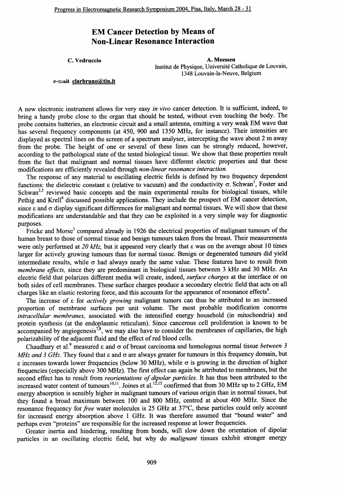## **EM Cancer Detection by Means of Non-Linear Resonance Interaction**

C. Vedruccio

A. Meessen Institut de Physique, Université Catholique de Louvain, 1348 Louvain-la-Neuve, Belgium

## e-mail clarbruno@tin.it

A new electronic instrument allows for very easy in vivo cancer detection. It is sufficient, indeed, to bring a handy probe close to the organ that should be tested, without even touching the body. The probe contains batteries, an electronic circuit and a small antenna, emitting a very weak EM wave that has several frequency components (at 450, 900 and 1350 MHz, for instance). Their intensities are displayed as spectral lines on the screen of a spectrum analyser, intercepting the wave about 2 m away from the probe. The height of one or several of these lines can be strongly reduced, however, according to the pathological state of the tested biological tissue. We show that these properties result from the fact that malignant and normal tissues have different electric properties and that these modifications are efficiently revealed through non-linear resonance interaction.

The response of any material to oscillating electric fields is defined by two frequency dependent functions: the dielectric constant  $\varepsilon$  (relative to vacuum) and the conductivity  $\sigma$ . Schwan<sup>1</sup>, Foster and Schwan<sup>2,3</sup> reviewed basic concepts and the main experimental results for biological tissues, while Pethig and Krell<sup>4</sup> discussed possible applications. They include the prospect of EM cancer detection, since  $\varepsilon$  and  $\sigma$  display significant differences for malignant and normal tissues. We will show that these modifications are understandable and that they can be exploited in a very simple way for diagnostic purposes.

Fricke and Morse<sup>5</sup> compared already in 1926 the electrical properties of malignant tumours of the human breast to those of normal tissue and benign tumours taken from the breast. Their measurements were only performed at 20 kHz, but it appeared very clearly that  $\varepsilon$  was on the average about 10 times larger for actively growing tumours than for normal tissue. Benign or degenerated tumours did yield intermediate results, while  $\sigma$  had always nearly the same value. These features have to result from membrane effects, since they are predominant in biological tissues between 3 kHz and 30 MHz. An electric field that polarizes different media will create, indeed, *surface charges* at the interface or on both sides of cell membranes. These surface charges produce a secondary electric field that acts on all charges like an elastic restoring force, and this accounts for the appearance of resonance effects<sup>6</sup>.

The increase of  $\varepsilon$  for *actively growing* malignant tumors can thus be attributed to an increased proportion of membrane surfaces per unit volume. The most probable modification concerns intracellular membranes, associated with the intensified energy household (in mitochondria) and protein synthesis (at the endoplasmic reticulum). Since cancerous cell proliferation is known to be accompanied by angiogenesis<sup>7,8</sup>, we may also have to consider the membranes of capillaries, the high polarizability of the adjacent fluid and the effect of red blood cells.

Chaudhary et al.<sup>9</sup> measured  $\varepsilon$  and  $\sigma$  of breast carcinoma and homologous normal tissue between 3 MHz and 3 GHz. They found that  $\varepsilon$  and  $\sigma$  are always greater for tumours in this frequency domain, but  $\epsilon$  increases towards lower frequencies (below 30 MHz), while  $\sigma$  is growing in the direction of higher frequencies (especially above 300 MHz). The first effect can again be attributed to membranes, but the second effect has to result from reorientations of dipolar particles. It has thus been attributed to the increased water content of tumours<sup>10,11</sup>. Joines et al.<sup>12,13</sup> confirmed that from 30 MHz up to 2 GHz, EM energy absorption is sensibly higher in malignant tumours of various origin than in normal tissues, but they found a broad maximum between 100 and 800 MHz, centred at about 400 MHz. Since the resonance frequency for *free* water molecules is 25 GHz at 37°C, these particles could only account for increased energy absorption above 1 GHz. It was therefore assumed that "bound water" and perhaps even "proteins" are responsible for the increased response at lower frequencies.

Greater inertia and hindering, resulting from bonds, will slow down the orientation of dipolar particles in an oscillating electric field, but why do malignant tissues exhibit stronger energy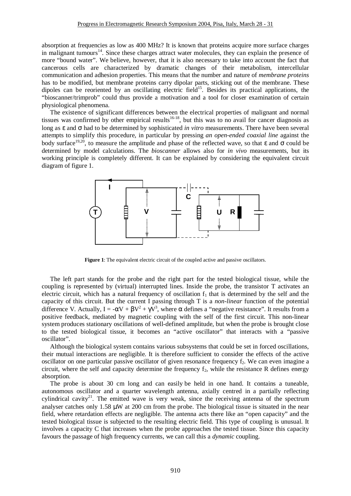absorption at frequencies as low as 400 MHz? It is known that proteins acquire more surface charges in malignant tumours<sup>14</sup>. Since these charges attract water molecules, they can explain the presence of more "bound water". We believe, however, that it is also necessary to take into account the fact that cancerous cells are characterized by dramatic changes of their metabolism, intercellular communication and adhesion properties. This means that the number and nature of *membrane proteins* has to be modified, but membrane proteins carry dipolar parts, sticking out of the membrane. These dipoles can be reoriented by an oscillating electric field<sup>15</sup>. Besides its practical applications, the "bioscanner/trimprob" could thus provide a motivation and a tool for closer examination of certain physiological phenomena.

The existence of significant differences between the electrical properties of malignant and normal tissues was confirmed by other empirical results<sup>16-18</sup>, but this was to no avail for cancer diagnosis as long as ε and σ had to be determined by sophisticated *in vitro* measurements. There have been several attempts to simplify this procedure, in particular by pressing *an open-ended coaxial line* against the body surface<sup>19,20</sup>, to measure the amplitude and phase of the reflected wave, so that  $\varepsilon$  and  $\sigma$  could be determined by model calculations. The *bioscanner* allows also for *in vivo* measurements, but its working principle is completely different. It can be explained by considering the equivalent circuit diagram of figure 1.



**Figure 1**: The equivalent electric circuit of the coupled active and passive oscillators.

The left part stands for the probe and the right part for the tested biological tissue, while the coupling is represented by (virtual) interrupted lines. Inside the probe, the transistor T activates an electric circuit, which has a natural frequency of oscillation  $f_1$  that is determined by the self and the capacity of this circuit. But the current I passing through T is a *non-linear* function of the potential difference V. Actually,  $I = -\alpha V + \beta V^2 + \gamma V^3$ , where  $\alpha$  defines a "negative resistance". It results from a positive feedback, mediated by magnetic coupling with the self of the first circuit. This non-linear system produces stationary oscillations of well-defined amplitude, but when the probe is brought close to the tested biological tissue, it becomes an "active oscillator" that interacts with a "passive oscillator".

Although the biological system contains various subsystems that could be set in forced oscillations, their mutual interactions are negligible. It is therefore sufficient to consider the effects of the active oscillator on one particular passive oscillator of given resonance frequency  $f_2$ . We can even imagine a circuit, where the self and capacity determine the frequency  $f_2$ , while the resistance R defines energy absorption.

The probe is about 30 cm long and can easily be held in one hand. It contains a tuneable, autonomous oscillator and a quarter wavelength antenna, axially centred in a partially reflecting cylindrical cavity<sup>21</sup>. The emitted wave is very weak, since the receiving antenna of the spectrum analyser catches only 1.58 μW at 200 cm from the probe. The biological tissue is situated in the near field, where retardation effects are negligible. The antenna acts there like an "open capacity" and the tested biological tissue is subjected to the resulting electric field. This type of coupling is unusual. It involves a capacity C that increases when the probe approaches the tested tissue. Since this capacity favours the passage of high frequency currents, we can call this a *dynamic* coupling.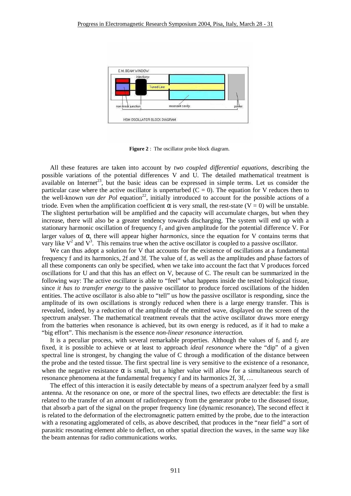

**Figure 2** : The oscillator probe block diagram.

All these features are taken into account by *two coupled differential equations,* describing the possible variations of the potential differences V and U. The detailed mathematical treatment is available on Internet<sup>23</sup>, but the basic ideas can be expressed in simple terms. Let us consider the particular case where the active oscillator is unperturbed  $(C = 0)$ . The equation for V reduces then to the well-known *van der Pol* equation<sup>22</sup>, initially introduced to account for the possible actions of a triode. Even when the amplification coefficient α is very small, the rest-state  $(V = 0)$  will be unstable. The slightest perturbation will be amplified and the capacity will accumulate charges, but when they increase, there will also be a greater tendency towards discharging. The system will end up with a stationary harmonic oscillation of frequency  $f_1$  and given amplitude for the potential difference V. For larger values of α, there will appear higher *harmonics,* since the equation for V contains terms that vary like  $V^2$  and  $V^3$ . This remains true when the active oscillator is coupled to a passive oscillator.

We can thus adopt a solution for V that accounts for the existence of oscillations at a fundamental frequency f and its harmonics, 2f and 3f. The value of f, as well as the amplitudes and phase factors of all these components can only be specified, when we take into account the fact that V produces forced oscillations for U and that this has an effect on V, because of C. The result can be summarized in the following way: The active oscillator is able to "feel" what happens inside the tested biological tissue, since *it has to transfer energy* to the passive oscillator to produce forced oscillations of the hidden entities. The active oscillator is also able to "tell" us how the passive oscillator is responding, since the amplitude of its own oscillations is strongly reduced when there is a large energy transfer. This is revealed, indeed, by a reduction of the amplitude of the emitted wave, displayed on the screen of the spectrum analyser. The mathematical treatment reveals that the active oscillator draws more energy from the batteries when resonance is achieved, but its own energy is reduced, as if it had to make a "big effort". This mechanism is the essence *non-linear resonance interaction.*

It is a peculiar process, with several remarkable properties. Although the values of  $f_1$  and  $f_2$  are fixed, it is possible to achieve or at least to approach *ideal resonance* where the "dip" of a given spectral line is strongest, by changing the value of C through a modification of the distance between the probe and the tested tissue. The first spectral line is very sensitive to the existence of a resonance, when the negative resistance  $\alpha$  is small, but a higher value will allow for a simultaneous search of resonance phenomena at the fundamental frequency f and its harmonics 2f, 3f, …

The effect of this interaction it is easily detectable by means of a spectrum analyzer feed by a small antenna. At the resonance on one, or more of the spectral lines, two effects are detectable: the first is related to the transfer of an amount of radiofrequency from the generator probe to the diseased tissue, that absorb a part of the signal on the proper frequency line (dynamic resonance), The second effect it is related to the deformation of the electromagnetic pattern emitted by the probe, due to the interaction with a resonating agglomerated of cells, as above described, that produces in the "near field" a sort of parasitic resonating element able to deflect, on other spatial direction the waves, in the same way like the beam antennas for radio communications works.